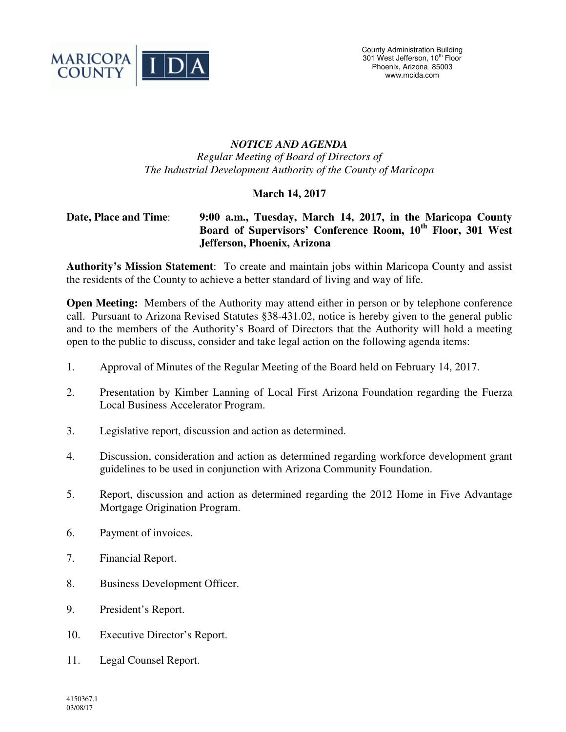

## *NOTICE AND AGENDA Regular Meeting of Board of Directors of The Industrial Development Authority of the County of Maricopa*

## **March 14, 2017**

## **Date, Place and Time**: **9:00 a.m., Tuesday, March 14, 2017, in the Maricopa County Board of Supervisors' Conference Room, 10th Floor, 301 West Jefferson, Phoenix, Arizona**

**Authority's Mission Statement**: To create and maintain jobs within Maricopa County and assist the residents of the County to achieve a better standard of living and way of life.

**Open Meeting:** Members of the Authority may attend either in person or by telephone conference call. Pursuant to Arizona Revised Statutes §38-431.02, notice is hereby given to the general public and to the members of the Authority's Board of Directors that the Authority will hold a meeting open to the public to discuss, consider and take legal action on the following agenda items:

- 1. Approval of Minutes of the Regular Meeting of the Board held on February 14, 2017.
- 2. Presentation by Kimber Lanning of Local First Arizona Foundation regarding the Fuerza Local Business Accelerator Program.
- 3. Legislative report, discussion and action as determined.
- 4. Discussion, consideration and action as determined regarding workforce development grant guidelines to be used in conjunction with Arizona Community Foundation.
- 5. Report, discussion and action as determined regarding the 2012 Home in Five Advantage Mortgage Origination Program.
- 6. Payment of invoices.
- 7. Financial Report.
- 8. Business Development Officer.
- 9. President's Report.
- 10. Executive Director's Report.
- 11. Legal Counsel Report.